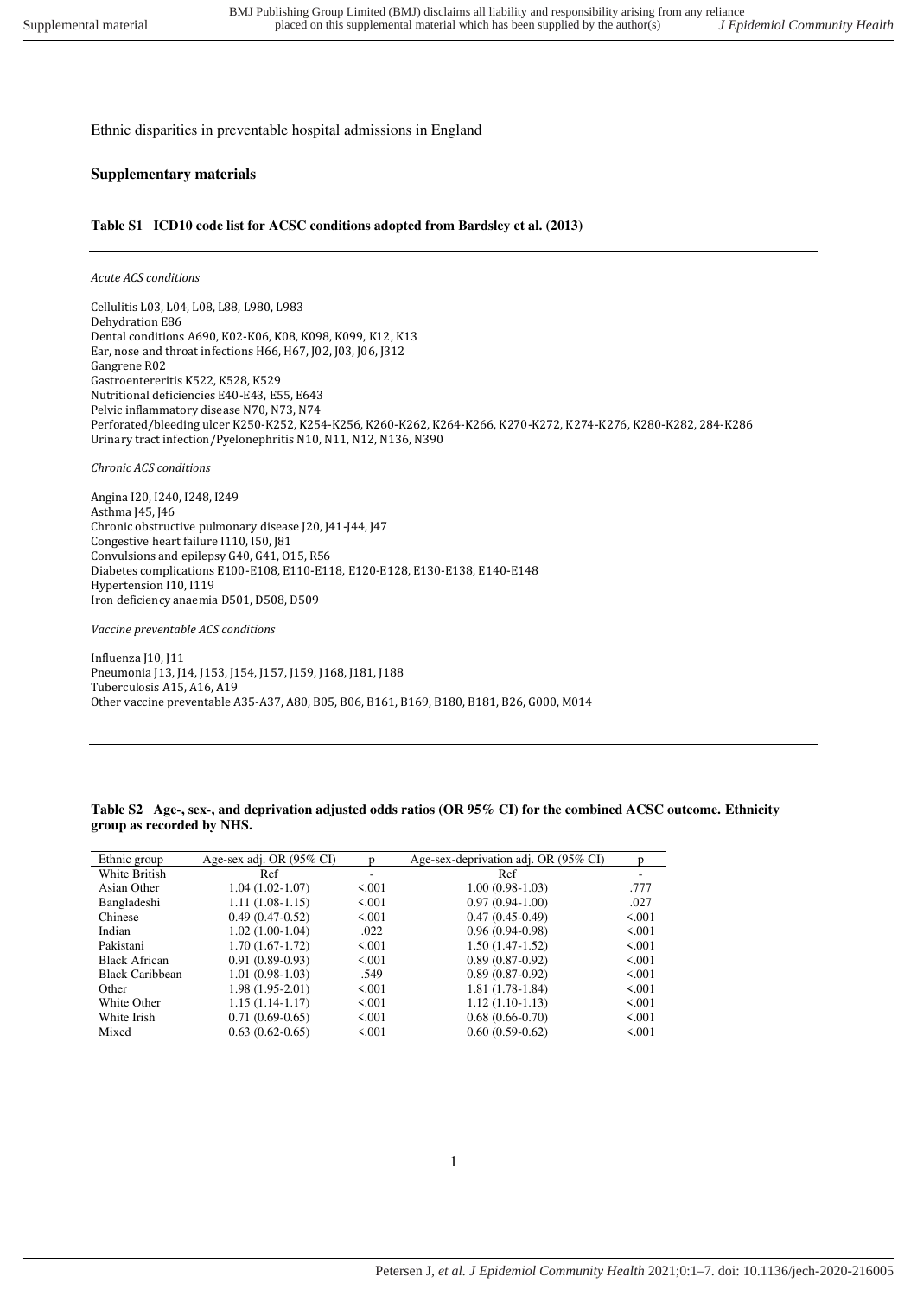Ethnic disparities in preventable hospital admissions in England

## **Supplementary materials**

## **Table S1 ICD10 code list for ACSC conditions adopted from Bardsley et al. (2013)**

## *Acute ACS conditions*

Cellulitis L03, L04, L08, L88, L980, L983 Dehydration E86 Dental conditions A690, K02-K06, K08, K098, K099, K12, K13 Ear, nose and throat infections H66, H67, J02, J03, J06, J312 Gangrene R02 Gastroentereritis K522, K528, K529 Nutritional deficiencies E40-E43, E55, E643 Pelvic inflammatory disease N70, N73, N74 Perforated/bleeding ulcer K250-K252, K254-K256, K260-K262, K264-K266, K270-K272, K274-K276, K280-K282, 284-K286 Urinary tract infection/Pyelonephritis N10, N11, N12, N136, N390

*Chronic ACS conditions* 

Angina I20, I240, I248, I249 Asthma J45, J46 Chronic obstructive pulmonary disease J20, J41-J44, J47 Congestive heart failure I110, I50, J81 Convulsions and epilepsy G40, G41, O15, R56 Diabetes complications E100-E108, E110-E118, E120-E128, E130-E138, E140-E148 Hypertension I10, I119 Iron deficiency anaemia D501, D508, D509

*Vaccine preventable ACS conditions* 

Influenza J10, J11 Pneumonia J13, J14, J153, J154, J157, J159, J168, J181, J188 Tuberculosis A15, A16, A19 Other vaccine preventable A35-A37, A80, B05, B06, B161, B169, B180, B181, B26, G000, M014

**Table S2 Age-, sex-, and deprivation adjusted odds ratios (OR 95% CI) for the combined ACSC outcome. Ethnicity group as recorded by NHS.** 

| Ethnic group           | Age-sex adj. OR (95% CI) | n     | Age-sex-deprivation adj. OR (95% CI) | n     |
|------------------------|--------------------------|-------|--------------------------------------|-------|
| White British          | Ref                      | ۰     | Ref                                  |       |
| Asian Other            | $1.04(1.02-1.07)$        | 5.001 | $1.00(0.98-1.03)$                    | .777  |
| Bangladeshi            | $1.11(1.08-1.15)$        | 5.001 | $0.97(0.94-1.00)$                    | .027  |
| Chinese                | $0.49(0.47-0.52)$        | 5.001 | $0.47(0.45-0.49)$                    | 5.001 |
| Indian                 | $1.02(1.00-1.04)$        | .022  | $0.96(0.94-0.98)$                    | 5.001 |
| Pakistani              | $1.70(1.67-1.72)$        | 5.001 | $1.50(1.47-1.52)$                    | 5.001 |
| <b>Black African</b>   | $0.91(0.89-0.93)$        | 5.001 | $0.89(0.87-0.92)$                    | 5.001 |
| <b>Black Caribbean</b> | $1.01(0.98-1.03)$        | .549  | $0.89(0.87-0.92)$                    | 5.001 |
| Other                  | $1.98(1.95-2.01)$        | 5.001 | $1.81(1.78-1.84)$                    | 5.001 |
| White Other            | $1.15(1.14-1.17)$        | 5.001 | $1.12(1.10-1.13)$                    | 5.001 |
| White Irish            | $0.71(0.69-0.65)$        | 5.001 | $0.68(0.66-0.70)$                    | 5.001 |
| Mixed                  | $0.63(0.62-0.65)$        | 5.001 | $0.60(0.59-0.62)$                    | 5.001 |